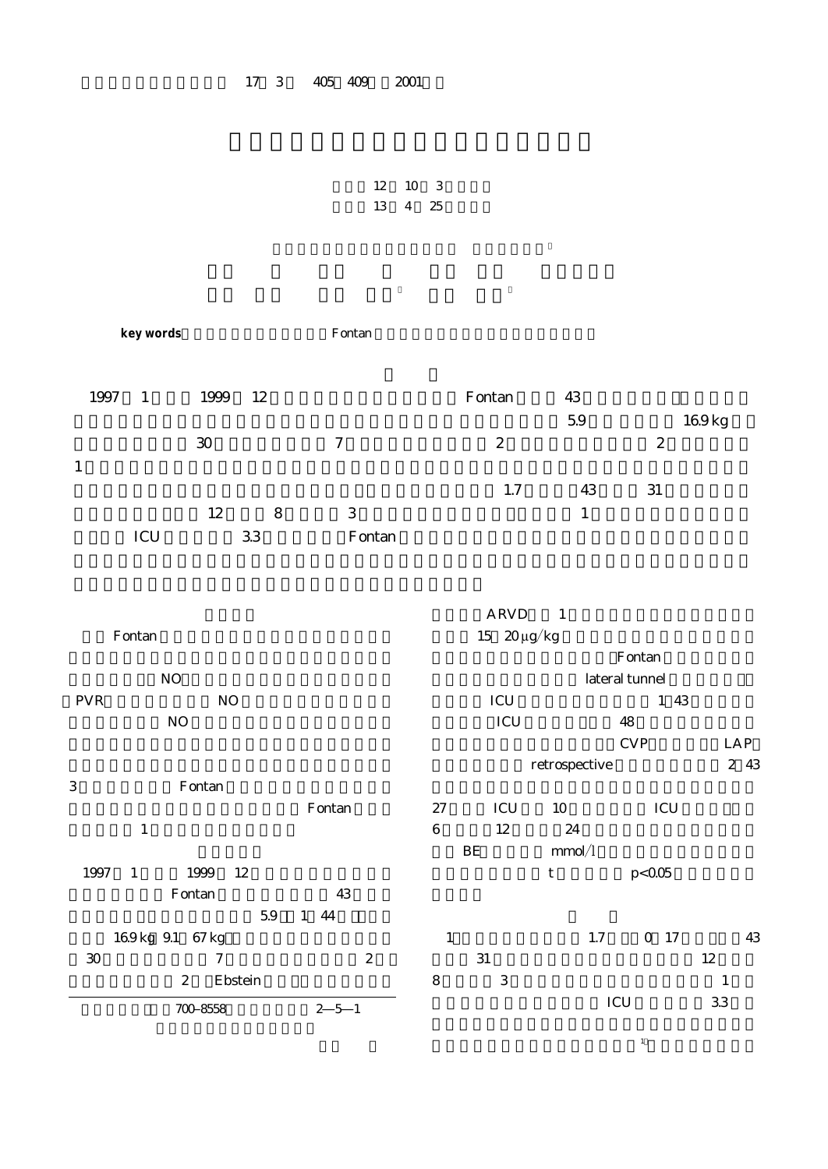## 17 3 405 409 2001

```
12 10 3
13 4 25
```

| key words                                     |             | Fontan                              |                                              |                                      |                  |                          |                 |
|-----------------------------------------------|-------------|-------------------------------------|----------------------------------------------|--------------------------------------|------------------|--------------------------|-----------------|
| 1997 1<br>1999                                | 12          |                                     |                                              | Fontan                               | 43<br>5.9        |                          | 169kg           |
| $30\,$                                        |             | $\boldsymbol{7}$                    |                                              | $\boldsymbol{2}$                     |                  | $\boldsymbol{2}$         |                 |
| $\mathbf{1}$                                  |             |                                     |                                              |                                      |                  |                          |                 |
| 12<br>$\rm{ICU}$                              | 8<br>$33\,$ | $\ensuremath{\mathsf{3}}$<br>Fontan |                                              | $1.7\,$                              | 43<br>$1\,$      | $31\,$                   |                 |
| Fontan                                        |             |                                     |                                              | $ARVD$ 1<br>15 $20 \mu g/kg$         |                  |                          |                 |
| $\rm NO$                                      |             |                                     |                                              |                                      |                  | Fontan<br>lateral tunnel |                 |
| ${\mbox{PVR}}$<br>$\rm NO$                    |             |                                     | $\ensuremath{\textup{\textbf{ICU}}}$<br>1 43 |                                      |                  |                          |                 |
| NO                                            |             |                                     |                                              | $\rm{ICU}$                           |                  | $48\,$                   |                 |
|                                               |             |                                     |                                              |                                      | retrospective    | <b>CVP</b>               | LAP<br>2 43     |
| Fontan<br>$\,3$                               |             |                                     |                                              |                                      |                  |                          |                 |
|                                               |             | Fontan                              | $27\,$                                       | $\ensuremath{\textup{\textbf{ICU}}}$ | 10               | ICU                      |                 |
| $\,1\,$                                       |             |                                     | $\,6$                                        | 12<br>$\rm BE$                       | $24\,$<br>mmol/I |                          |                 |
| 1997<br>1999<br>$\mathbf{1}$                  | 12          |                                     |                                              |                                      | $\mathsf t$      | p < 0.05                 |                 |
| Fontan                                        |             | 43                                  |                                              |                                      |                  |                          |                 |
|                                               | 59          | 144                                 |                                              |                                      |                  |                          |                 |
| 169kg 91 67kg                                 |             |                                     | $\mathbf{1}$                                 |                                      | $1.7\,$          | $0$ 17                   | $43\,$          |
| $3\!\mathrm{O}$<br>$\tau$<br>$\boldsymbol{2}$ | Ebstein     | $\boldsymbol{2}$                    | $\,8\,$                                      | $31\,$<br>$\ensuremath{\mathsf{3}}$  |                  |                          | $12\,$<br>$1\,$ |
| 700 8558                                      |             | $2\ \ 5\ \ 1$                       |                                              |                                      |                  | ICU                      | 33              |

 $\mathbf{1}$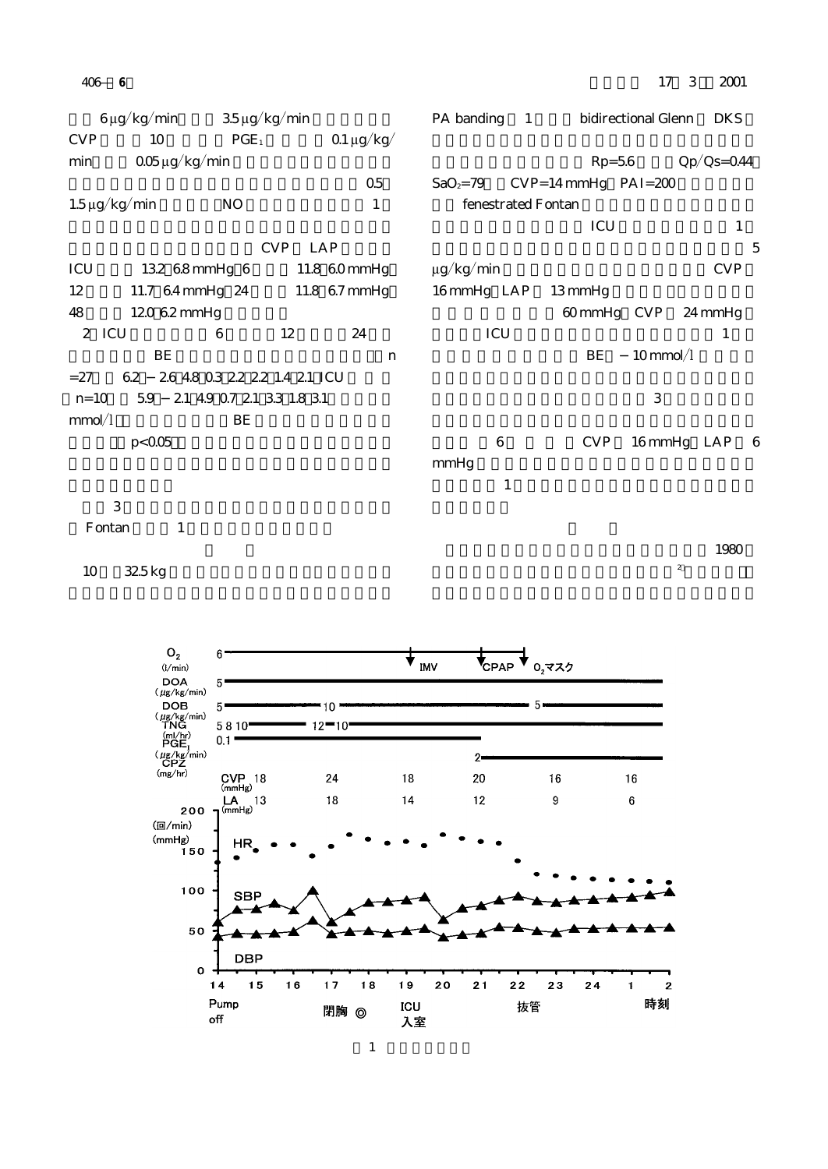$6 \mu g/kg/min$  35  $\mu g/kg/min$  $CVP$  10  $PGE_1$   $0.1 \mu g/kg/$ min  $0.05 \mu g/kg/m$ in  $\Omega$ 5 $\Omega$  $1.5 \mu g/kg/min$  NO  $1$ CVP LAP ICU 13.2,6.8 mmHg, 6 11.8,60 mmHg 12 11.7,64 mmHg, 24 11.8,67 mmHg 48 120,62 mmHg 2) ICU 6 12 24  $BE$  and  $n$  $=27$  6.2, 2.6,48,0.3,2.2,2.2,1.4,2.1,ICU n=10, 5.9, 2.1,4.9,0.7,2.1,3.3,1.8,3.1  $mmol/l$  BE  $p < 0.05$  $3$ PA banding 1 bidirectional Glenn DKS  $Rp=5.6$   $Qp/Qs=0.44$  $SaO_z = 79$  CVP=14 mmHg PAI=200 fenestrated Fontan  $ICU$  1  $5<sub>l</sub>$  $\mu$ g/kg/min CVP 16 mmHg LAP 13 mmHg 60 mmHg CVP 24 mmHg  $\rm{ICU}$  and  $\rm{ICU}$  and  $\rm{ICU}$  and  $\rm{ICU}$ BE 10 mmol/l  $3$  3  $-$  3  $-$  3  $-$  3  $-$  3  $-$  3  $-$  3  $-$  4  $-$  4  $-$  4  $-$  4  $-$  4  $-$  4  $-$  4  $-$  4  $-$  4  $-$  4  $-$  4  $-$  4  $-$  4  $-$  4  $-$  4  $-$  4  $-$  4  $-$  4  $-$  4  $-$  4  $-$  4  $-$  4  $-$  4  $-$  4  $-$  4  $-$  4  $-$  4  $-$  4  $-$  4  $-$  4 6 CVP 16 mmHg LAP 6 mmHg ), the state  $1$ 

Fontan 1

10 32.5 kg

 $\sim 1980$ 

 $\sim$  2



406― **6**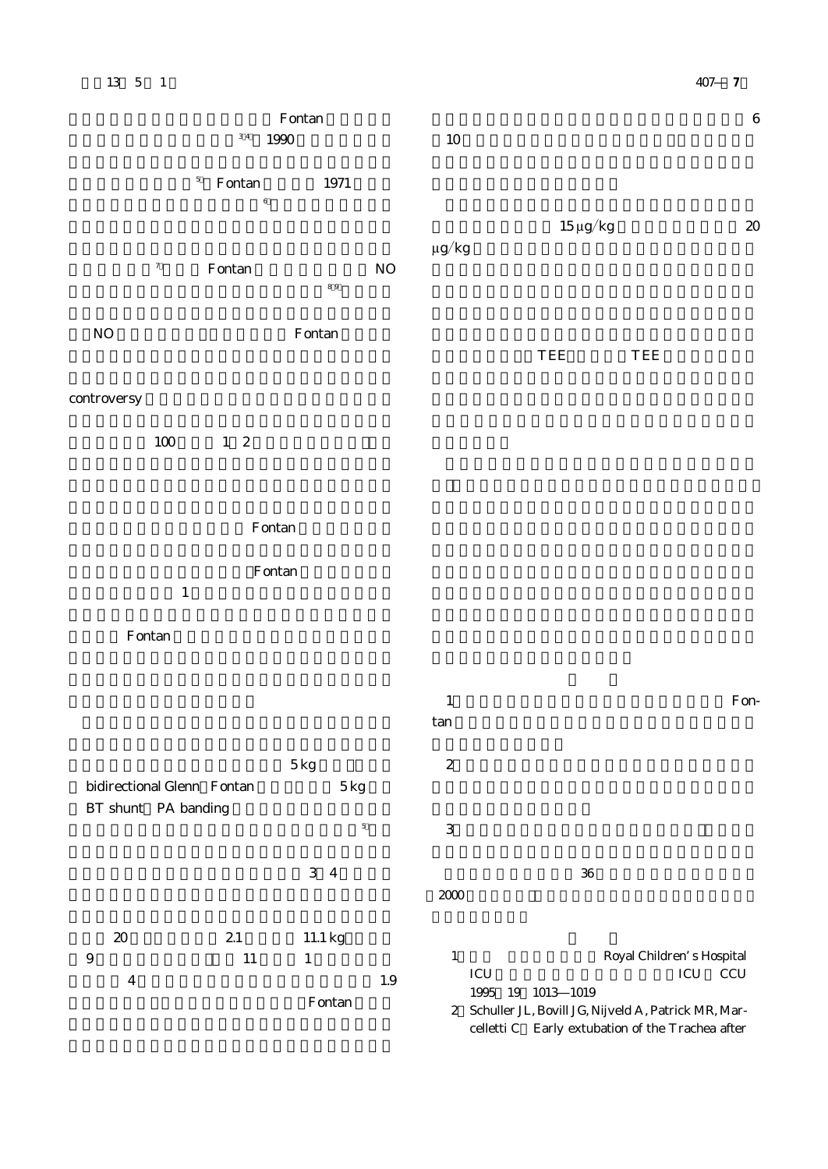| $13\quad 5\quad 1$                     |                                                                     |                                        |          |            |                      |                     | $407$ 7 |         |
|----------------------------------------|---------------------------------------------------------------------|----------------------------------------|----------|------------|----------------------|---------------------|---------|---------|
|                                        | $\ensuremath{\mathsf{F}}\xspace$ ontan<br>$3\ 4$<br>$1990\,$        |                                        |          | $10\,$     |                      |                     |         | $\,6\,$ |
|                                        | $\sqrt{5}$<br>$\ensuremath{\mathsf{F}}\xspace$ ontan<br>$\,$ 6 $\,$ | $1971\,$                               |          |            |                      |                     |         |         |
| $\boldsymbol{7}$                       | $\ensuremath{\mathsf{F}}\xspace$ ontan                              | $8\ 9$                                 | $\rm NO$ | $\mu g/kg$ | $15\,\mu\text{g/kg}$ |                     |         | $2\!0$  |
| $\rm NO$                               |                                                                     | $\ensuremath{\mathsf{F}}\xspace$ ontan |          |            | ${\rm TEE}$          | $\sqrt{\text{TEE}}$ |         |         |
| controversy                            |                                                                     |                                        |          |            |                      |                     |         |         |
| $100\,$                                | $1\quad 2$                                                          |                                        |          |            |                      |                     |         |         |
|                                        | $\ensuremath{\mathsf{F}}\xspace$ ontan                              |                                        |          |            |                      |                     |         |         |
| $\,1\,$                                | $\ensuremath{\mathsf{F}}\xspace$ ontan                              |                                        |          |            |                      |                     |         |         |
| $\ensuremath{\mathsf{F}}\xspace$ ontan |                                                                     |                                        |          |            |                      |                     |         |         |

|                            |          |                               | $\mathbf{1}$<br>Fon-                                                                                                                                      |  |
|----------------------------|----------|-------------------------------|-----------------------------------------------------------------------------------------------------------------------------------------------------------|--|
|                            |          |                               | tan                                                                                                                                                       |  |
| bidirectional Glenn Fontan |          | 5kg                           | $\mathbf{2}$                                                                                                                                              |  |
|                            |          | 5kg                           |                                                                                                                                                           |  |
| BT shunt PA banding        |          | 5                             | 3                                                                                                                                                         |  |
|                            |          | 3 4                           | 36<br>2000                                                                                                                                                |  |
| 20<br>9<br>4               | 21<br>11 | 11.1 kg<br>1<br>1.9<br>Fontan | Royal Children's Hospital<br>$\mathbf{1}$<br>ICU<br>ICU<br><b>CCU</b><br>1013 1019<br>1995<br>19<br>2 Schuller JL, Bovill JG, Nijveld A, Patrick MR, Mar- |  |
|                            |          |                               | celletti C Early extubation of the Trachea after                                                                                                          |  |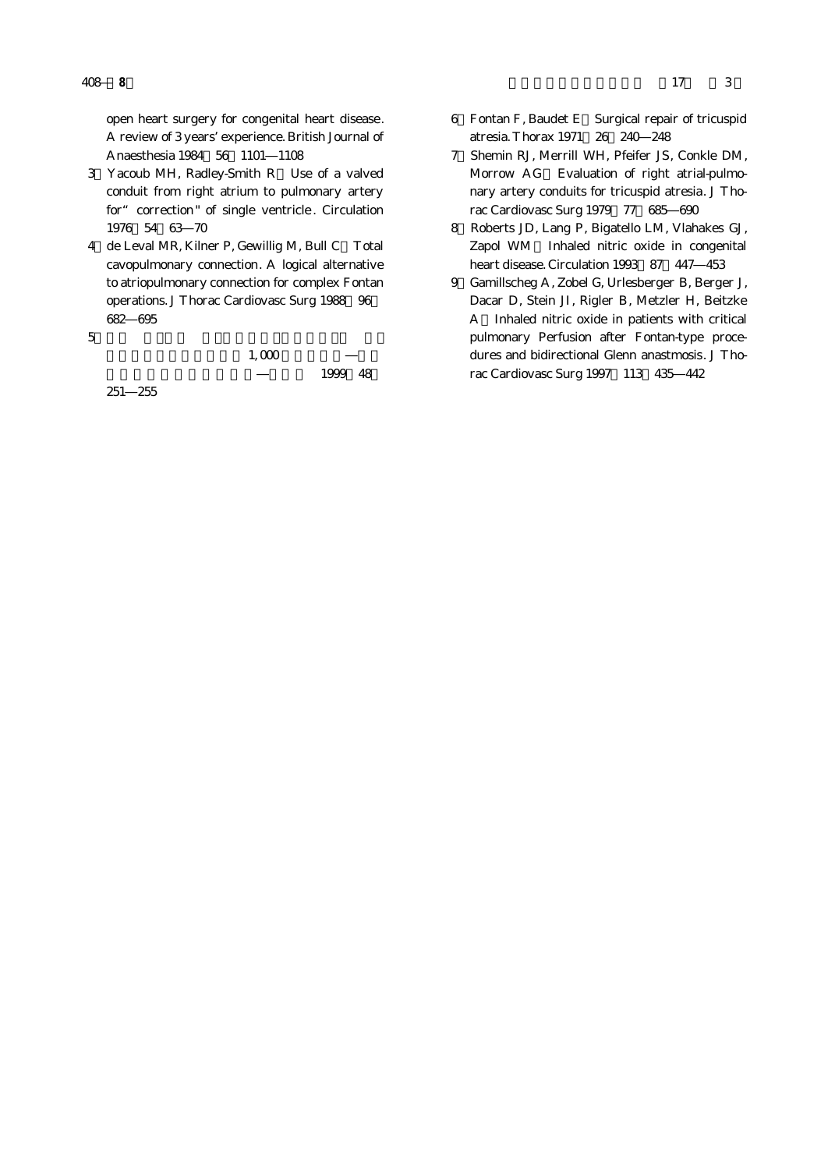open heart surgery for congenital heart disease. A review of 3 years'experience. British Journal of Anaesthesia 1984 56 1101 1108

- 3)Yacoub MH, Radley-Smith R:Use of a valved conduit from right atrium to pulmonary artery for " correction" of single ventricle. Circulation 1976;54:63―70
- 4 de Leval MR, Kilner P, Gewillig M, Bull C Total cavopulmonary connection. A logical alternative to atriopulmonary connection for complex Fontan operations. J Thorac Cardiovasc Surg 1988 96 682―695

 $5$ 

 $1,000$ 

1999 48

251―255

- 6)Fontan F, Baudet E:Surgical repair of tricuspid atresia. Thorax 1971;26:240―248
- 7)Shemin RJ, Merrill WH, Pfeifer JS, Conkle DM, Morrow AG Evaluation of right atrial-pulmonary artery conduits for tricuspid atresia. J Thorac Cardiovasc Surg 1979 77 685 690
- 8)Roberts JD, Lang P, Bigatello LM, Vlahakes GJ, Zapol WM Inhaled nitric oxide in congenital heart disease. Circulation 1993 87 447 453
- 9)Gamillscheg A, Zobel G, Urlesberger B, Berger J, Dacar D, Stein JI, Rigler B, Metzler H, Beitzke A:Inhaled nitric oxide in patients with critical pulmonary Perfusion after Fontan-type procedures and bidirectional Glenn anastmosis. J Thorac Cardiovasc Surg 1997 113 435 442